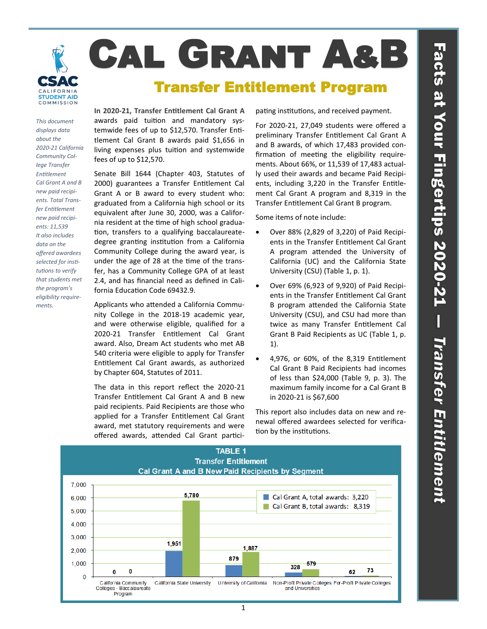



## *This document displays data about the 2020-21 California Community College Transfer Entitlement Cal Grant A and B new paid recipients. Total Transfer Entitlement new paid recipients: 11,539 It also includes data on the offered awardees selected for institutions to verify that students met the program's eligibility requirements.*

**In 2020-21, Transfer Entitlement Cal Grant A**  awards paid tuition and mandatory systemwide fees of up to \$12,570. Transfer Entitlement Cal Grant B awards paid \$1,656 in living expenses plus tuition and systemwide fees of up to \$12,570.

Senate Bill 1644 (Chapter 403, Statutes of 2000) guarantees a Transfer Entitlement Cal Grant A or B award to every student who: graduated from a California high school or its equivalent after June 30, 2000, was a California resident at the time of high school graduation, transfers to a qualifying baccalaureatedegree granting institution from a California Community College during the award year, is under the age of 28 at the time of the transfer, has a Community College GPA of at least 2.4, and has financial need as defined in California Education Code 69432.9.

Applicants who attended a California Community College in the 2018-19 academic year, and were otherwise eligible, qualified for a 2020-21 Transfer Entitlement Cal Grant award. Also, Dream Act students who met AB 540 criteria were eligible to apply for Transfer Entitlement Cal Grant awards, as authorized by Chapter 604, Statutes of 2011.

The data in this report reflect the 2020-21 Transfer Entitlement Cal Grant A and B new paid recipients. Paid Recipients are those who applied for a Transfer Entitlement Cal Grant award, met statutory requirements and were offered awards, attended Cal Grant participating institutions, and received payment.

For 2020-21, 27,049 students were offered a preliminary Transfer Entitlement Cal Grant A and B awards, of which 17,483 provided confirmation of meeting the eligibility requirements. About 66%, or 11,539 of 17,483 actually used their awards and became Paid Recipients, including 3,220 in the Transfer Entitlement Cal Grant A program and 8,319 in the Transfer Entitlement Cal Grant B program.

Some items of note include:

- Over 88% (2,829 of 3,220) of Paid Recipients in the Transfer Entitlement Cal Grant A program attended the University of California (UC) and the California State University (CSU) (Table 1, p. 1).
- Over 69% (6,923 of 9,920) of Paid Recipients in the Transfer Entitlement Cal Grant B program attended the California State University (CSU), and CSU had more than twice as many Transfer Entitlement Cal Grant B Paid Recipients as UC (Table 1, p. 1).
- 4,976, or 60%, of the 8,319 Entitlement Cal Grant B Paid Recipients had incomes of less than \$24,000 (Table 9, p. 3). The maximum family income for a Cal Grant B in 2020-21 is \$67,600

This report also includes data on new and renewal offered awardees selected for verification by the institutions.

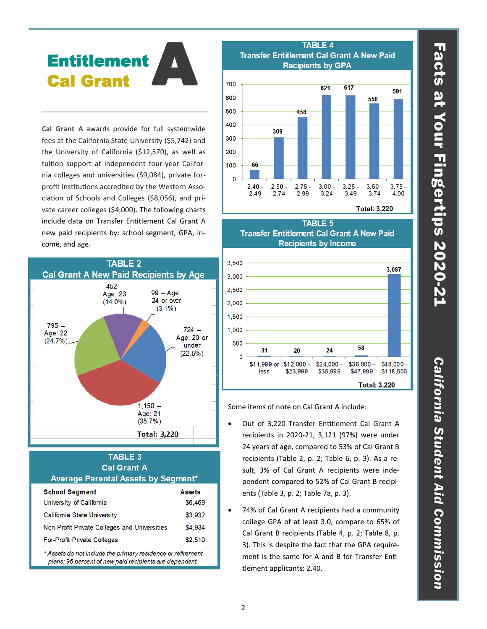# A Entitlement Cal Grant

**Cal Grant A** awards provide for full systemwide fees at the California State University (\$5,742) and the University of California (\$12,570), as well as tuition support at independent four-year California colleges and universities (\$9,084), private forprofit institutions accredited by the Western Association of Schools and Colleges (\$8,056), and private career colleges (\$4,000). The following charts include data on Transfer Entitlement Cal Grant A new paid recipients by: school segment, GPA, income, and age.



### **TABLE 3 Cal Grant A** Average Parental Assets by Segment\* **Assets School Segment** \$6,469 University of California Califomia State University \$3.932 Non-Profit Private Colleges and Universities \$4,934 For-Profit Private Colleges \$2,510 \* Assets do not include the primary residence or retirement

plans; 96 percent of new paid recipients are dependent.







Some items of note on Cal Grant A include:

- Out of 3,220 Transfer Entitlement Cal Grant A recipients in 2020-21, 3,121 (97%) were under 24 years of age, compared to 53% of Cal Grant B recipients (Table 2, p. 2; Table 6, p. 3). As a result, 3% of Cal Grant A recipients were independent compared to 52% of Cal Grant B recipients (Table 3, p. 2; Table 7a, p. 3).
- 74% of Cal Grant A recipients had a community college GPA of at least 3.0, compare to 65% of Cal Grant B recipients (Table 4, p. 2; Table 8, p. 3). This is despite the fact that the GPA requirement is the same for A and B for Transfer Entitlement applicants: 2.40.

# Facts at Your Fingertips 2020-21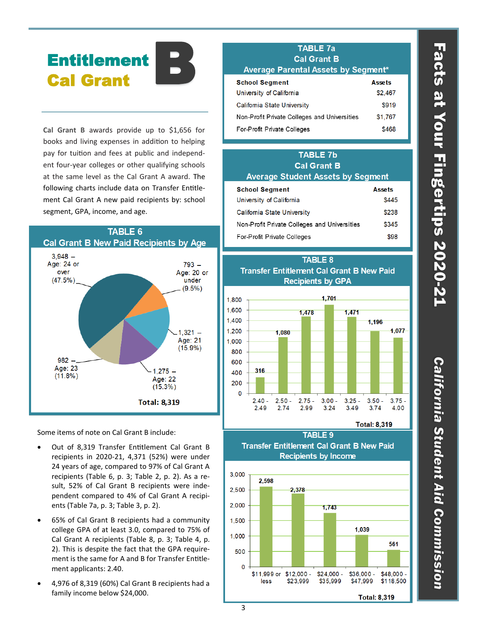# B **Entitlement** Cal Grant

**Cal Grant B** awards provide up to \$1,656 for books and living expenses in addition to helping pay for tuition and fees at public and independent four-year colleges or other qualifying schools at the same level as the Cal Grant A award. The following charts include data on Transfer Entitlement Cal Grant A new paid recipients by: school segment, GPA, income, and age.



Some items of note on Cal Grant B include:

- Out of 8,319 Transfer Entitlement Cal Grant B recipients in 2020-21, 4,371 (52%) were under 24 years of age, compared to 97% of Cal Grant A recipients (Table 6, p. 3; Table 2, p. 2). As a result, 52% of Cal Grant B recipients were independent compared to 4% of Cal Grant A recipients (Table 7a, p. 3; Table 3, p. 2).
- 65% of Cal Grant B recipients had a community college GPA of at least 3.0, compared to 75% of Cal Grant A recipients (Table 8, p. 3; Table 4, p. 2). This is despite the fact that the GPA requirement is the same for A and B for Transfer Entitlement applicants: 2.40.
- 4,976 of 8,319 (60%) Cal Grant B recipients had a family income below \$24,000.

# **TABLE 7a Cal Grant B**

| AVEI AUG FAI CHIAI ASSEIS DY OCUITEIII       |               |  |  |
|----------------------------------------------|---------------|--|--|
| <b>School Segment</b>                        | <b>Assets</b> |  |  |
| University of California                     | \$2.467       |  |  |
| <b>Califomia State University</b>            | \$919         |  |  |
| Non-Profit Private Colleges and Universities | \$1.767       |  |  |
| For-Profit Private Colleges                  | \$468         |  |  |

### **TABLE 7b Cal Grant B Average Student Assets by Segment School Segment Assets** University of California \$445 \$238 **Califomia State University** Non-Profit Private Colleges and Universities \$345 For-Profit Private Colleges \$98



TABLE 9 **Transfer Entitlement Cal Grant B New Paid Recipients by Income** 



# Facts at Your Fingertips 2020-21

California Student Aid Commission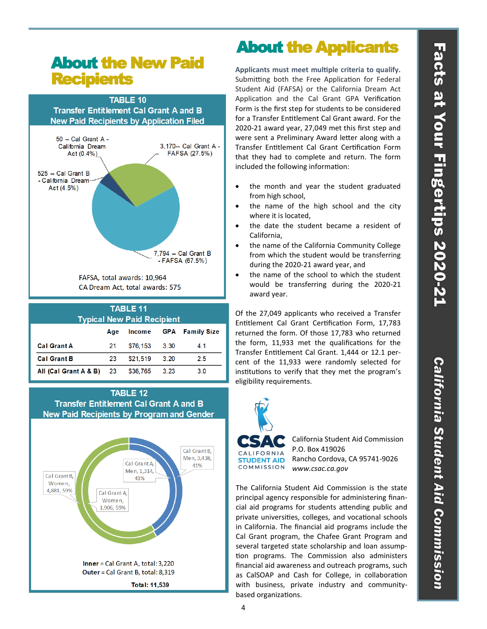# About the New Paid **Recipients**



### **TABLE 11 Typical New Paid Recipient** Age Income **GPA** Family Size **Cal Grant A** \$76,153 21  $3.30$  $4.1$ **Cal Grant B** \$21,519  $2.5$ 23  $3.20$ All (Cal Grant A & B) 23 \$36,765  $3.23$  $3.0$





# About the Applicants

**Applicants must meet multiple criteria to qualify.** Submitting both the Free Application for Federal Student Aid (FAFSA) or the California Dream Act Application and the Cal Grant GPA Verification Form is the first step for students to be considered for a Transfer Entitlement Cal Grant award. For the 2020-21 award year, 27,049 met this first step and were sent a Preliminary Award letter along with a Transfer Entitlement Cal Grant Certification Form that they had to complete and return. The form included the following information:

- the month and year the student graduated from high school,
- the name of the high school and the city where it is located,
- the date the student became a resident of California,
- the name of the California Community College from which the student would be transferring during the 2020-21 award year, and
- the name of the school to which the student would be transferring during the 2020-21 award year.

Of the 27,049 applicants who received a Transfer Entitlement Cal Grant Certification Form, 17,783 returned the form. Of those 17,783 who returned the form, 11,933 met the qualifications for the Transfer Entitlement Cal Grant. 1,444 or 12.1 percent of the 11,933 were randomly selected for institutions to verify that they met the program's eligibility requirements.



COMMISSION

California Student Aid Commission P.O. Box 419026 Rancho Cordova, CA 95741-9026 *www.csac.ca.gov* 

The California Student Aid Commission is the state principal agency responsible for administering financial aid programs for students attending public and private universities, colleges, and vocational schools in California. The financial aid programs include the Cal Grant program, the Chafee Grant Program and several targeted state scholarship and loan assumption programs. The Commission also administers financial aid awareness and outreach programs, such as CalSOAP and Cash for College, in collaboration with business, private industry and communitybased organizations.